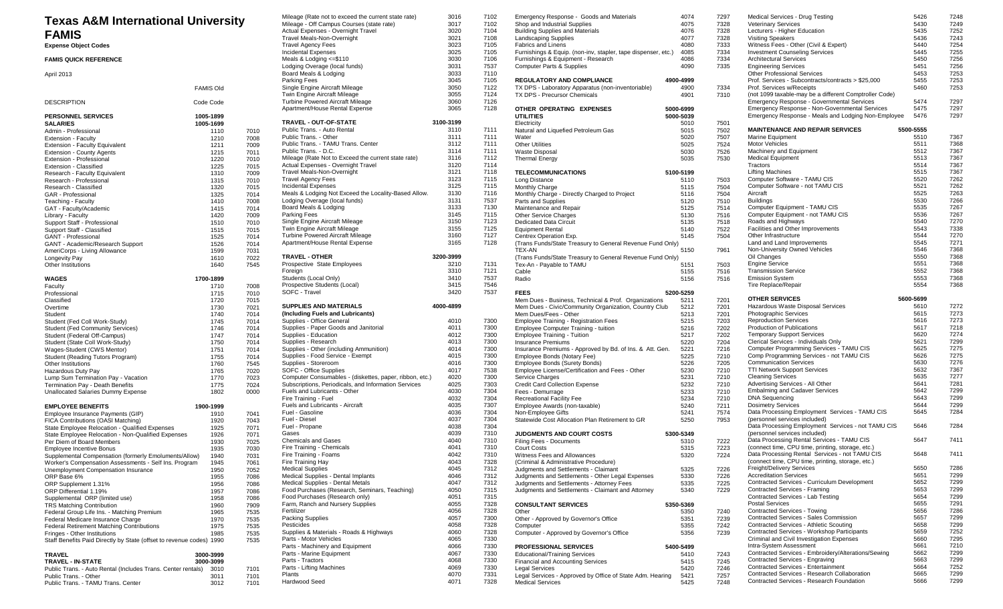| <b>Texas A&amp;M International University</b>                        |                  |      | Mileage (Rate not to exceed the current state rate)     | 3016         | 7102         | Emergency Response - Goods and Materials          |
|----------------------------------------------------------------------|------------------|------|---------------------------------------------------------|--------------|--------------|---------------------------------------------------|
|                                                                      |                  |      | Mileage - Off Campus Courses (state rate)               | 3017         | 7102         | Shop and Industrial Supplies                      |
| <b>FAMIS</b>                                                         |                  |      | Actual Expenses - Overnight Travel                      | 3020         | 7104         | <b>Building Supplies and Materials</b>            |
|                                                                      |                  |      | Travel Meals-Non-Overnight                              | 3021         | 7108         | <b>Landscaping Supplies</b>                       |
| <b>Expense Object Codes</b>                                          |                  |      | <b>Travel Agency Fees</b>                               | 3023         | 7105         | <b>Fabrics and Linens</b>                         |
|                                                                      |                  |      | <b>Incidental Expenses</b>                              | 3025         | 7105         | Furnishings & Equip. (non-inv, stapler, tape disp |
| <b>FAMIS QUICK REFERENCE</b>                                         |                  |      | Meals & Lodging <= \$110                                | 3030         | 7106         | Furnishings & Equipment - Research                |
|                                                                      |                  |      | Lodging Overage (local funds)                           | 3031         | 7537         | <b>Computer Parts &amp; Supplies</b>              |
| April 2013                                                           |                  |      | Board Meals & Lodging                                   | 3033         | 7110         |                                                   |
|                                                                      |                  |      | Parking Fees                                            | 3045         | 7105         | <b>REGULATORY AND COMPLIANCE</b>                  |
|                                                                      | <b>FAMIS Old</b> |      | Single Engine Aircraft Mileage                          | 3050         | 7122         | TX DPS - Laboratory Apparatus (non-inventoria     |
|                                                                      |                  |      | Twin Engine Aircraft Mileage                            | 3055         | 7124         | TX DPS - Precursor Chemicals                      |
| <b>DESCRIPTION</b>                                                   | Code Code        |      | <b>Turbine Powered Aircraft Mileage</b>                 | 3060         | 7126         |                                                   |
|                                                                      |                  |      | Apartment/House Rental Expense                          | 3065         | 7128         | OTHER OPERATING EXPENSES                          |
|                                                                      |                  |      |                                                         |              |              | <b>UTILITIES</b>                                  |
| PERSONNEL SERVICES                                                   | 1005-1899        |      | TRAVEL - OUT-OF-STATE                                   | 3100-3199    |              |                                                   |
| <b>SALARIES</b>                                                      | 1005-1699        |      |                                                         |              |              | Electricity                                       |
| Admin - Professional                                                 | 1110             | 7010 | Public Trans. - Auto Rental                             | 3110         | 7111         | Natural and Liquefied Petroleum Gas               |
| Extension - Faculty                                                  | 1210             | 7008 | Public Trans. - Other                                   | 3111         | 7111         | Water                                             |
| Extension - Faculty Equivalent                                       | 1211             | 7009 | Public Trans. - TAMU Trans. Center                      | 3112         | 7111         | <b>Other Utilities</b>                            |
| Extension - County Agents                                            | 1215             | 7011 | Public Trans. - D.C.                                    | 3114         | 7111         | <b>Waste Disposal</b>                             |
| Extension - Professional                                             | 1220             | 7010 | Mileage (Rate Not to Exceed the current state rate)     | 3116         | 7112         | <b>Thermal Energy</b>                             |
| Extension - Classified                                               | 1225             | 7015 | Actual Expenses - Overnight Travel                      | 3120         | 7114         |                                                   |
| Research - Faculty Equivalent                                        | 1310             | 7009 | Travel Meals-Non-Overnight                              | 3121         | 7118         | <b>TELECOMMUNICATIONS</b>                         |
| Research - Professional                                              | 1315             | 7010 | <b>Travel Agency Fees</b>                               | 3123         | 7115         | Long Distance                                     |
| Research - Classified                                                | 1320             | 7015 | <b>Incidental Expenses</b>                              | 3125         | 7115         | Monthly Charge                                    |
|                                                                      | 1325             | 7014 | Meals & Lodging Not Exceed the Locality-Based Allow.    | 3130         | 7116         | Monthly Charge - Directly Charged to Project      |
| GAR - Professional                                                   |                  |      | Lodging Overage (local funds)                           | 3131         | 7537         |                                                   |
| Teaching - Faculty                                                   | 1410             | 7008 |                                                         |              |              | Parts and Supplies                                |
| GAT - Faculty/Academic                                               | 1415             | 7014 | Board Meals & Lodging                                   | 3133         | 7130         | Maintenance and Repair                            |
| Library - Faculty                                                    | 1420             | 7009 | Parking Fees                                            | 3145         | 7115         | <b>Other Service Charges</b>                      |
| Support Staff - Professional                                         | 1510             | 7010 | Single Engine Aircraft Mileage                          | 3150         | 7123         | Dedicated Data Circuit                            |
| Support Staff - Classified                                           | 1515             | 7015 | Twin Engine Aircraft Mileage                            | 3155         | 7125         | <b>Equipment Rental</b>                           |
| <b>GANT - Professional</b>                                           | 1525             | 7014 | <b>Turbine Powered Aircraft Mileage</b>                 | 3160         | 7127         | Centrex Operation Exp.                            |
| GANT - Academic/Research Support                                     | 1526             | 7014 | Apartment/House Rental Expense                          | 3165         | 7128         | (Trans Funds/State Treasury to General Revent     |
| AmeriCorps - Living Allowance                                        | 1599             | 7031 |                                                         |              |              | <b>TEX-AN</b>                                     |
| Longevity Pay                                                        | 1610             | 7022 | <b>TRAVEL - OTHER</b>                                   | 3200-3999    |              | (Trans Funds/State Treasury to General Revent     |
| Other Institutions                                                   | 1640             | 7545 | Prospective State Employees                             | 3210         | 7131         | Tex-An - Payable to TAMU                          |
|                                                                      |                  |      | Foreign                                                 | 3310         | 7121         | Cable                                             |
|                                                                      |                  |      | Students (Local Only)                                   | 3410         | 7537         |                                                   |
| <b>WAGES</b>                                                         | 1700-1899        |      |                                                         |              |              | Radio                                             |
| Faculty                                                              | 1710             | 7008 | Prospective Students (Local)                            | 3415         | 7546         |                                                   |
| Professional                                                         | 1715             | 7010 | SOFC - Travel                                           | 3420         | 7537         | <b>FEES</b>                                       |
| Classified                                                           | 1720             | 7015 |                                                         |              |              | Mem Dues - Business, Technical & Prof. Organ      |
|                                                                      |                  |      | SUPPLIES AND MATERIALS                                  |              |              |                                                   |
| Overtime                                                             | 1730             | 7021 |                                                         | 4000-4899    |              | Mem Dues - Civic/Community Organization, Cou      |
|                                                                      |                  |      |                                                         |              |              |                                                   |
| Student                                                              | 1740             | 7014 | (Including Fuels and Lubricants)                        |              |              | Mem Dues/Fees - Other                             |
| Student (Fed Coll Work-Study)                                        | 1745             | 7014 | Supplies - Office General                               | 4010         | 7300         | <b>Employee Training - Registration Fees</b>      |
| <b>Student (Fed Community Services)</b>                              | 1746             | 7014 | Supplies - Paper Goods and Janitorial                   | 4011         | 7300         | Employee Computer Training - tuition              |
| Student (Federal Off-Campus)                                         | 1747             | 7014 | Supplies - Education                                    | 4012         | 7300         | <b>Employee Training - Tuition</b>                |
| Student (State Coll Work-Study)                                      | 1750             | 7014 | Supplies - Research                                     | 4013         | 7300         | <b>Insurance Premiums</b>                         |
| Wages-Student (CWS Mentor)                                           | 1751             | 7014 | Supplies - Other (including Ammunition)                 | 4014         | 7300         | Insurance Premiums - Approved by Bd. of Ins. 8    |
| Student (Reading Tutors Program)                                     | 1755             | 7014 | Supplies - Food Service - Exempt                        | 4015         | 7300         | Employee Bonds (Notary Fee)                       |
| Other Institutions                                                   | 1760             | 7545 | Supplies - Storeroom                                    | 4016         | 7300         | Employee Bonds (Surety Bonds)                     |
| Hazardous Duty Pay                                                   | 1765             | 7020 | SOFC - Office Supplies                                  | 4017         | 7538         | Employee License/Certification and Fees - Othe    |
| Lump Sum Termination Pay - Vacation                                  | 1770             | 7023 | Computer Consumables - (diskettes, paper, ribbon, etc.) | 4020         | 7300         | Service Charges                                   |
| Termination Pay - Death Benefits                                     | 1775             | 7024 | Subscriptions, Periodicals, and Information Services    | 4025         | 7303         | <b>Credit Card Collection Expense</b>             |
| Unallocated Salaries Dummy Expense                                   | 1802             | 0000 | Fuels and Lubricants - Other                            | 4030         | 7304         | Fees - Demurrage                                  |
|                                                                      |                  |      | Fire Training - Fuel                                    | 4032         | 7304         | Recreational Facility Fee                         |
|                                                                      |                  |      |                                                         |              |              |                                                   |
| <b>EMPLOYEE BENEFITS</b>                                             | 1900-1999        |      | Fuels and Lubricants - Aircraft<br>Fuel - Gasoline      | 4035<br>4036 | 7307         | Employee Awards (non-taxable)                     |
| Employee Insurance Payments (GIP)                                    | 1910             | 7041 |                                                         | 4037         | 7304<br>7304 | Non-Employee Gifts                                |
| FICA Contributions (OASI Matching)                                   | 1920             | 7043 | Fuel - Diesel                                           |              |              | Statewide Cost Allocation Plan Retirement to GI   |
| State Employee Relocation - Qualified Expenses                       | 1925             | 7071 | Fuel - Propane                                          | 4038         | 7304         |                                                   |
| State Employee Relocation - Non-Qualified Expenses                   | 1926             | 7071 | Gases                                                   | 4039         | 7310         | JUDGMENTS AND COURT COSTS                         |
| Per Diem of Board Members                                            | 1930             | 7025 | <b>Chemicals and Gases</b>                              | 4040         | 7310         | Filing Fees - Documents                           |
| Employee Incentive Bonus                                             | 1935             | 7030 | Fire Training - Chemicals                               | 4041         | 7310         | <b>Court Costs</b>                                |
| Supplemental Compensation (formerly Emoluments/Allow)                | 1940             | 7031 | Fire Training - Foams                                   | 4042         | 7310         | Witness Fees and Allowances                       |
| Worker's Compensation Assessments - Self Ins. Program                | 1945             | 7061 | Fire Training Hay                                       | 4043         | 7328         | (Criminal & Administrative Procedure)             |
| Unemployment Compensation Insurance                                  | 1950             | 7052 | <b>Medical Supplies</b>                                 | 4045         | 7312         | Judgments and Settlements - Claimant              |
| ORP Base 6%                                                          |                  | 7086 | Medical Supplies - Dental Implants                      | 4046         | 7312         | Judgments and Settlements - Other Legal Exper     |
|                                                                      | 1955             |      | Medical Supplies - Dental Metals                        | 4047         | 7312         | Judgments and Settlements - Attorney Fees         |
| ORP Supplement 1.31%<br>ORP Differential 1.19%                       | 1956             | 7086 | Food Purchases (Research, Seminars, Teaching)           | 4050         | 7315         | Judgments and Settlements - Claimant and Atto     |
|                                                                      | 1957             | 7086 | Food Purchases (Research only)                          | 4051         | 7315         |                                                   |
| Supplemental ORP (limited use)                                       | 1958             | 7086 |                                                         |              |              |                                                   |
| <b>TRS Matching Contribution</b>                                     | 1960             | 7909 | Farm, Ranch and Nursery Supplies                        | 4055         | 7328         | <b>CONSULTANT SERVICES</b>                        |
| Federal Group Life Ins. - Matching Premium                           | 1965             | 7535 | Fertilizer                                              | 4056         | 7328         | Other                                             |
| Federal Medicare Insurance Charge                                    | 1970             | 7535 | <b>Packing Supplies</b>                                 | 4057         | 7300         | Other - Approved by Governor's Office             |
| Federal Retirement Matching Contributions                            | 1975             | 7535 | Pesticides                                              | 4058         | 7328         | Computer                                          |
| Fringes - Other Institutions                                         | 1985             | 7535 | Supplies & Materials - Roads & Highways                 | 4060         | 7328         | Computer - Approved by Governor's Office          |
| Staff Benefits Paid Directly by State (offset to revenue codes) 1990 |                  | 7535 | Parts - Motor Vehicles                                  | 4065         | 7330         |                                                   |
|                                                                      |                  |      | Parts - Machinery and Equipment                         | 4066         | 7330         | <b>PROFESSIONAL SERVICES</b>                      |
| <b>TRAVEL</b>                                                        | 3000-3999        |      | Parts - Marine Equipment                                | 4067         | 7330         | <b>Educational/Training Services</b>              |
| TRAVEL - IN-STATE                                                    | 3000-3099        |      | Parts - Tractors                                        | 4068         | 7330         | Financial and Accounting Services                 |
| Public Trans. - Auto Rental (Includes Trans. Center rentals)         | 3010             | 7101 | Parts - Lifting Machines                                | 4069         | 7330         | <b>Legal Services</b>                             |
| Public Trans. - Other                                                | 3011             | 7101 | Plants                                                  | 4070         | 7331         | Legal Services - Approved by Office of State Ad   |
| Public Trans. - TAMU Trans. Center                                   | 3012             | 7101 | Hardwood Seed                                           | 4071         | 7328         | <b>Medical Services</b>                           |

| Emergency Response - Goods and Materials                                           | 4074         | 7297         | Medical Services - Drug Testing                                                           | 5426         | 7248         |
|------------------------------------------------------------------------------------|--------------|--------------|-------------------------------------------------------------------------------------------|--------------|--------------|
| Shop and Industrial Supplies                                                       | 4075         | 7328         | <b>Veterinary Services</b>                                                                | 5430         | 7249         |
| <b>Building Supplies and Materials</b>                                             | 4076         | 7328         | Lecturers - Higher Education                                                              | 5435         | 7252         |
| Landscaping Supplies                                                               | 4077         | 7328         | <b>Visiting Speakers</b>                                                                  | 5436         | 7243         |
| Fabrics and Linens                                                                 | 4080         | 7333         | Witness Fees - Other (Civil & Expert)                                                     | 5440         | 7254         |
| Furnishings & Equip. (non-inv, stapler, tape dispenser, etc.)                      | 4085         | 7334         | <b>Investment Counseling Services</b>                                                     | 5445         | 7255         |
| Furnishings & Equipment - Research                                                 | 4086         | 7334         | <b>Architectural Services</b>                                                             | 5450         | 7256         |
| Computer Parts & Supplies                                                          | 4090         | 7335         | <b>Engineering Services</b>                                                               | 5451         | 7256         |
| <b>REGULATORY AND COMPLIANCE</b>                                                   | 4900-4999    |              | <b>Other Professional Services</b><br>Prof. Services - Subcontracts/contracts > \$25,000  | 5453<br>5455 | 7253<br>7253 |
| TX DPS - Laboratory Apparatus (non-inventoriable)                                  | 4900         | 7334         | Prof. Services w/Receipts                                                                 | 5460         | 7253         |
| TX DPS - Precursor Chemicals                                                       | 4901         | 7310         | (not 1099 taxable-may be a different Comptroller Code)                                    |              |              |
|                                                                                    |              |              | Emergency Response - Governmental Services                                                | 5474         | 7297         |
| OTHER OPERATING EXPENSES                                                           | 5000-6999    |              | Emergency Response - Non-Governmental Services                                            | 5475         | 7297         |
| UTILITIES                                                                          | 5000-5039    |              | Emergency Response - Meals and Lodging Non-Employee                                       | 5476         | 7297         |
| Electricity                                                                        | 5010         | 7501         |                                                                                           |              |              |
| Natural and Liquefied Petroleum Gas                                                | 5015         | 7502         | <b>MAINTENANCE AND REPAIR SERVICES</b>                                                    | 5500-5555    |              |
| Water                                                                              | 5020         | 7507         | Marine Equipment                                                                          | 5510         | 7367         |
| <b>Other Utilities</b>                                                             | 5025         | 7524         | Motor Vehicles                                                                            | 5511         | 7368         |
| Waste Disposal                                                                     | 5030         | 7526         | Machinery and Equipment                                                                   | 5512         | 7367         |
| Thermal Energy                                                                     | 5035         | 7530         | <b>Medical Equipment</b>                                                                  | 5513         | 7367         |
|                                                                                    |              |              | Tractors                                                                                  | 5514         | 7367         |
| TELECOMMUNICATIONS                                                                 | 5100-5199    |              | <b>Lifting Machines</b>                                                                   | 5515         | 7367         |
| Long Distance                                                                      | 5110         | 7503         | Computer Software - TAMU CIS                                                              | 5520         | 7262         |
| Monthly Charge                                                                     | 5115         | 7504         | Computer Software - not TAMU CIS                                                          | 5521         | 7262         |
| Monthly Charge - Directly Charged to Project                                       | 5116         | 7504         | Aircraft                                                                                  | 5525         | 7263         |
| Parts and Supplies                                                                 | 5120         | 7510         | <b>Buildings</b>                                                                          | 5530         | 7266         |
| Maintenance and Repair                                                             | 5125         | 7514         | Computer Equipment - TAMU CIS                                                             | 5535         | 7267         |
| Other Service Charges                                                              | 5130         | 7516         | Computer Equipment - not TAMU CIS                                                         | 5536         | 7267         |
| Dedicated Data Circuit                                                             | 5135         | 7518         | Roads and Highways                                                                        | 5540         | 7270         |
| <b>Equipment Rental</b>                                                            | 5140         | 7522         | Facilities and Other Improvements                                                         | 5543         | 7338         |
| Centrex Operation Exp.                                                             | 5145         | 7504         | Other Infrastructure                                                                      | 5544         | 7270         |
| (Trans Funds/State Treasury to General Revenue Fund Only)                          |              |              | Land and Land Improvements                                                                | 5545         | 7271         |
| TEX-AN                                                                             | 5150         | 7961         | Non-University Owned Vehicles                                                             | 5546         | 7368         |
| (Trans Funds/State Treasury to General Revenue Fund Only)                          |              |              | Oil Changes                                                                               | 5550         | 7368         |
| Tex-An - Payable to TAMU                                                           | 5151         | 7503         | <b>Engine Service</b>                                                                     | 5551         | 7368         |
| Cable                                                                              | 5155         | 7516         | <b>Transmission Service</b>                                                               | 5552         | 7368         |
| Radio                                                                              | 5156         | 7516         | <b>Emission System</b>                                                                    | 5553         | 7368         |
|                                                                                    |              |              | Tire Replace/Repair                                                                       | 5554         | 7368         |
| FEES                                                                               | 5200-5259    |              |                                                                                           |              |              |
| Mem Dues - Business, Technical & Prof. Organizations                               | 5211         | 7201         | <b>OTHER SERVICES</b>                                                                     | 5600-5699    |              |
| Mem Dues - Civic/Community Organization, Country Club                              | 5212         | 7201         | Hazardous Waste Disposal Services                                                         | 5610         | 7272         |
| Mem Dues/Fees - Other                                                              | 5213         | 7201         | Photographic Services                                                                     | 5615         | 7273         |
| <b>Employee Training - Registration Fees</b>                                       | 5215         | 7203         | <b>Reproduction Services</b>                                                              | 5616         | 7273         |
| Employee Computer Training - tuition                                               | 5216         | 7202         | Production of Publications                                                                | 5617         | 7218         |
| <b>Employee Training - Tuition</b>                                                 | 5217         | 7202         | <b>Temporary Support Services</b>                                                         | 5620         | 7274         |
| <b>Insurance Premiums</b>                                                          | 5220         | 7204         | Clerical Services - Individuals Only                                                      | 5621         | 7299         |
| Insurance Premiums - Approved by Bd. of Ins. & Att. Gen.                           | 5221         | 7216         | Computer Programming Services - TAMU CIS                                                  | 5625         | 7275         |
| Employee Bonds (Notary Fee)                                                        | 5225         | 7210         | Comp Programming Services - not TAMU CIS                                                  | 5626         | 7275         |
| Employee Bonds (Surety Bonds)                                                      | 5226         | 7205         | <b>Communication Services</b>                                                             | 5630         | 7276         |
| Employee License/Certification and Fees - Other                                    | 5230         | 7210         | <b>TTI Network Support Services</b>                                                       | 5632         | 7367         |
| Service Charges                                                                    | 5231         | 7210         | <b>Cleaning Services</b>                                                                  | 5635         | 7277         |
| <b>Credit Card Collection Expense</b>                                              | 5232         | 7210         | Advertising Services - All Other                                                          | 5641         | 7281         |
| Fees - Demurrage                                                                   | 5233         | 7210         | <b>Embalming and Cadaver Services</b>                                                     | 5642         | 7299         |
| <b>Recreational Facility Fee</b>                                                   | 5234         | 7210         | <b>DNA Sequencing</b>                                                                     | 5643         | 7299         |
| Employee Awards (non-taxable)                                                      | 5240         | 7211         | <b>Dosimetry Services</b>                                                                 | 5644         | 7299         |
| Non-Employee Gifts                                                                 | 5241         | 7574         | Data Processing Employment Services - TAMU CIS                                            | 5645         | 7284         |
| Statewide Cost Allocation Plan Retirement to GR                                    | 5250         | 7953         | (personnel services included)                                                             |              |              |
|                                                                                    |              |              | Data Processing Employment Services - not TAMU CIS                                        | 5646         | 7284         |
| <b>JUDGMENTS AND COURT COSTS</b>                                                   | 5300-5349    |              | (personnel services included)                                                             |              |              |
| <b>Filing Fees - Documents</b>                                                     | 5310         | 7222         | Data Processing Rental Services - TAMU CIS                                                | 5647         | 7411         |
| Court Costs                                                                        | 5315         | 7223         | (connect time, CPU time, printing, storage, etc.)                                         |              |              |
| Witness Fees and Allowances                                                        | 5320         | 7224         | Data Processing Rental Services - not TAMU CIS                                            | 5648         | 7411         |
| (Criminal & Administrative Procedure)                                              |              |              | (connect time, CPU time, printing, storage, etc.)                                         |              |              |
| Judgments and Settlements - Claimant                                               | 5325         | 7226         | <b>Freight/Delivery Services</b>                                                          | 5650         | 7286         |
| Judgments and Settlements - Other Legal Expenses                                   | 5330         | 7226         | <b>Accreditation Services</b>                                                             | 5651         | 7299         |
| Judgments and Settlements - Attorney Fees                                          | 5335         | 7225         | Contracted Services - Curriculum Development                                              | 5652         | 7299         |
| Judgments and Settlements - Claimant and Attorney                                  | 5340         | 7229         | Contracted Services - Framing                                                             | 5653         | 7299         |
|                                                                                    |              |              | Contracted Services - Lab Testing                                                         | 5654         | 7299         |
| <b>CONSULTANT SERVICES</b>                                                         | 5350-5369    |              | <b>Postal Services</b>                                                                    | 5655         | 7291         |
| Other                                                                              | 5350         | 7240         | Contracted Services - Towing                                                              | 5656         | 7286         |
| Other - Approved by Governor's Office                                              | 5351         | 7239         | Contracted Services - Sales Commission                                                    | 5657         | 7299         |
| Computer                                                                           | 5355         | 7242         | Contracted Services - Athletic Scouting                                                   | 5658         | 7299         |
| Computer - Approved by Governor's Office                                           | 5356         | 7239         | Contracted Services - Workshop Participants                                               | 5659         | 7252         |
|                                                                                    |              |              | Criminal and Civil Investigation Expenses                                                 | 5660         | 7295         |
| <b>PROFESSIONAL SERVICES</b>                                                       |              |              | Intra-System Assessment                                                                   | 5661         | 7210         |
| <b>Educational/Training Services</b>                                               |              |              |                                                                                           |              |              |
|                                                                                    | 5400-5499    |              | Contracted Services - Embroidery/Alterations/Sewing                                       | 5662         | 7299         |
|                                                                                    | 5410<br>5415 | 7243         | Contracted Services - Engraving                                                           | 5663         | 7299         |
| Financial and Accounting Services                                                  | 5420         | 7245         | <b>Contracted Services - Entertainment</b>                                                | 5664         | 7252         |
| <b>Legal Services</b><br>Legal Services - Approved by Office of State Adm. Hearing | 5421         | 7246<br>7257 | Contracted Services - Research Collaboration<br>Contracted Services - Research Foundation | 5665<br>5666 | 7299<br>7299 |